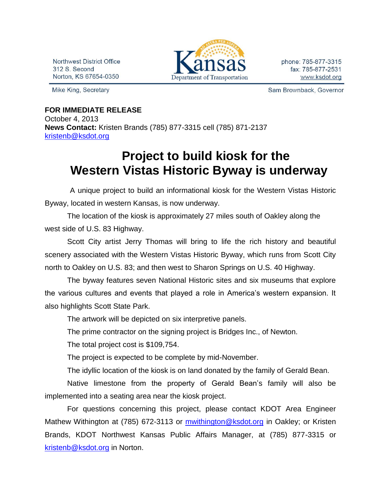Northwest District Office 312 S. Second Norton, KS 67654-0350

Mike King, Secretary



phone: 785-877-3315 fax: 785-877-2531 www.ksdot.org

Sam Brownback, Governor

## **FOR IMMEDIATE RELEASE** October 4, 2013 **News Contact:** Kristen Brands (785) 877-3315 cell (785) 871-2137 [kristenb@ksdot.org](mailto:kristenb@ksdot.org)

## **Project to build kiosk for the Western Vistas Historic Byway is underway**

 A unique project to build an informational kiosk for the Western Vistas Historic Byway, located in western Kansas, is now underway.

The location of the kiosk is approximately 27 miles south of Oakley along the west side of U.S. 83 Highway.

Scott City artist Jerry Thomas will bring to life the rich history and beautiful scenery associated with the Western Vistas Historic Byway, which runs from Scott City north to Oakley on U.S. 83; and then west to Sharon Springs on U.S. 40 Highway.

The byway features seven National Historic sites and six museums that explore the various cultures and events that played a role in America's western expansion. It also highlights Scott State Park.

The artwork will be depicted on six interpretive panels.

The prime contractor on the signing project is Bridges Inc., of Newton.

The total project cost is \$109,754.

The project is expected to be complete by mid-November.

The idyllic location of the kiosk is on land donated by the family of Gerald Bean.

Native limestone from the property of Gerald Bean's family will also be implemented into a seating area near the kiosk project.

For questions concerning this project, please contact KDOT Area Engineer Mathew Withington at (785) 672-3113 or *mwithington@ksdot.org* in Oakley; or Kristen Brands, KDOT Northwest Kansas Public Affairs Manager, at (785) 877-3315 or [kristenb@ksdot.org](mailto:kristenb@ksdot.org) in Norton.